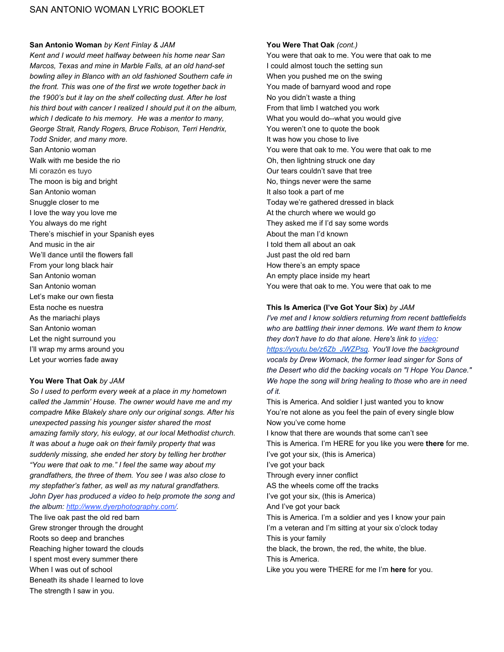## **San Antonio Woman** *by Kent Finlay & JAM*

*Kent and I would meet halfway between his home near San Marcos, Texas and mine in Marble Falls, at an old hand-set bowling alley in Blanco with an old fashioned Southern cafe in the front. This was one of the first we wrote together back in the 1900's but it lay on the shelf collecting dust. After he lost his third bout with cancer I realized I should put it on the album, which I dedicate to his memory. He was a mentor to many, George Strait, Randy Rogers, Bruce Robison, Terri Hendrix, Todd Snider, and many more.* San Antonio woman Walk with me beside the rio Mi corazón es tuyo The moon is big and bright San Antonio woman Snuggle closer to me I love the way you love me You always do me right There's mischief in your Spanish eyes And music in the air We'll dance until the flowers fall From your long black hair San Antonio woman San Antonio woman Let's make our own fiesta Esta noche es nuestra As the mariachi plays San Antonio woman Let the night surround you I'll wrap my arms around you Let your worries fade away

# **You Were That Oak** *by JAM*

*So I used to perform every week at a place in my hometown called the Jammin' House. The owner would have me and my compadre Mike Blakely share only our original songs. After his unexpected passing his younger sister shared the most amazing family story, his eulogy, at our local Methodist church. It was about a huge oak on their family property that was suddenly missing, she ended her story by telling her brother "You were that oak to me." I feel the same way about my grandfathers, the three of them. You see I was also close to my stepfather's father, as well as my natural grandfathers. John Dyer has produced a video to help promote the song and the album: <http://www.dyerphotography.com/>.*

The live oak past the old red barn Grew stronger through the drought Roots so deep and branches Reaching higher toward the clouds I spent most every summer there When I was out of school Beneath its shade I learned to love The strength I saw in you.

#### **You Were That Oak** *(cont.)*

You were that oak to me. You were that oak to me I could almost touch the setting sun When you pushed me on the swing You made of barnyard wood and rope No you didn't waste a thing From that limb I watched you work What you would do--what you would give You weren't one to quote the book It was how you chose to live You were that oak to me. You were that oak to me Oh, then lightning struck one day Our tears couldn't save that tree No, things never were the same It also took a part of me Today we're gathered dressed in black At the church where we would go They asked me if I'd say some words About the man I'd known I told them all about an oak Just past the old red barn How there's an empty space An empty place inside my heart You were that oak to me. You were that oak to me

## **This Is America (I've Got Your Six)** *by JAM*

*I've met and I know soldiers returning from recent battlefields who are battling their inner demons. We want them to know they don't have to do that alone. Here's link to [video](http://poa4vets.org/2017/07/04/this-is-america-ive-got-your-six-song-by-john-arthur-martinez/%20): [https://youtu.be/z6Zb\\_JWZPsg](https://youtu.be/z6Zb_JWZPsg). You'll love the background vocals by Drew Womack, the former lead singer for Sons of the Desert who did the backing vocals on "I Hope You Dance." We hope the song will bring healing to those who are in need of it.*

This is America. And soldier I just wanted you to know You're not alone as you feel the pain of every single blow Now you've come home I know that there are wounds that some can't see This is America. I'm HERE for you like you were **there** for me. I've got your six, (this is America) I've got your back Through every inner conflict AS the wheels come off the tracks I've got your six, (this is America) And I've got your back This is America. I'm a soldier and yes I know your pain I'm a veteran and I'm sitting at your six o'clock today This is your family the black, the brown, the red, the white, the blue. This is America. Like you you were THERE for me I'm **here** for you.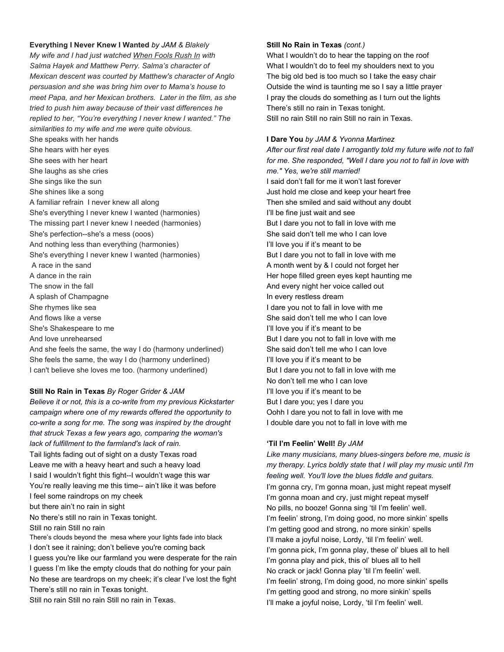**Everything I Never Knew I Wanted** *by JAM & Blakely My wife and I had just watched When Fools Rush In with Salma Hayek and Matthew Perry. Salma's character of Mexican descent was courted by Matthew's character of Anglo persuasion and she was bring him over to Mama's house to meet Papa, and her Mexican brothers. Later in the film, as she tried to push him away because of their vast differences he replied to her, "You're everything I never knew I wanted." The similarities to my wife and me were quite obvious.* She speaks with her hands She hears with her eyes She sees with her heart

She laughs as she cries She sings like the sun She shines like a song A familiar refrain I never knew all along She's everything I never knew I wanted (harmonies) The missing part I never knew I needed (harmonies) She's perfection--she's a mess (ooos) And nothing less than everything (harmonies) She's everything I never knew I wanted (harmonies) A race in the sand A dance in the rain The snow in the fall A splash of Champagne She rhymes like sea And flows like a verse She's Shakespeare to me And love unrehearsed And she feels the same, the way I do (harmony underlined) She feels the same, the way I do (harmony underlined)

#### **Still No Rain in Texas** *By Roger Grider & JAM*

I can't believe she loves me too. (harmony underlined)

*Believe it or not, this is a co-write from my previous Kickstarter campaign where one of my rewards offered the opportunity to co-write a song for me. The song was inspired by the drought that struck Texas a few years ago, comparing the woman's lack of fulfillment to the farmland's lack of rain.*

Tail lights fading out of sight on a dusty Texas road Leave me with a heavy heart and such a heavy load I said I wouldn't fight this fight--I wouldn't wage this war You're really leaving me this time-- ain't like it was before I feel some raindrops on my cheek

but there ain't no rain in sight

No there's still no rain in Texas tonight.

Still no rain Still no rain

There's clouds beyond the mesa where your lights fade into black I don't see it raining; don't believe you're coming back I guess you're like our farmland you were desperate for the rain I guess I'm like the empty clouds that do nothing for your pain No these are teardrops on my cheek; it's clear I've lost the fight There's still no rain in Texas tonight.

Still no rain Still no rain Still no rain in Texas.

## **Still No Rain in Texas** *(cont.)*

What I wouldn't do to hear the tapping on the roof What I wouldn't do to feel my shoulders next to you The big old bed is too much so I take the easy chair Outside the wind is taunting me so I say a little prayer I pray the clouds do something as I turn out the lights There's still no rain in Texas tonight. Still no rain Still no rain Still no rain in Texas.

### **I Dare You** *by JAM & Yvonna Martinez*

*After our first real date I arrogantly told my future wife not to fall for me. She responded, "Well I dare you not to fall in love with me." Yes, we're still married!* I said don't fall for me it won't last forever Just hold me close and keep your heart free Then she smiled and said without any doubt I'll be fine just wait and see But I dare you not to fall in love with me She said don't tell me who I can love I'll love you if it's meant to be But I dare you not to fall in love with me A month went by & I could not forget her Her hope filled green eyes kept haunting me And every night her voice called out In every restless dream I dare you not to fall in love with me She said don't tell me who I can love I'll love you if it's meant to be But I dare you not to fall in love with me She said don't tell me who I can love I'll love you if it's meant to be But I dare you not to fall in love with me No don't tell me who I can love I'll love you if it's meant to be But I dare you; yes I dare you Oohh I dare you not to fall in love with me I double dare you not to fall in love with me

## **'Til I'm Feelin' Well!** *By JAM*

*Like many musicians, many blues-singers before me, music is my therapy. Lyrics boldly state that I will play my music until I'm feeling well. You'll love the blues fiddle and guitars.* I'm gonna cry, I'm gonna moan, just might repeat myself I'm gonna moan and cry, just might repeat myself No pills, no booze! Gonna sing 'til I'm feelin' well. I'm feelin' strong, I'm doing good, no more sinkin' spells I'm getting good and strong, no more sinkin' spells I'll make a joyful noise, Lordy, 'til I'm feelin' well. I'm gonna pick. I'm gonna play, these ol' blues all to hell I'm gonna play and pick, this ol' blues all to hell No crack or jack! Gonna play 'til I'm feelin' well. I'm feelin' strong, I'm doing good, no more sinkin' spells I'm getting good and strong, no more sinkin' spells I'll make a joyful noise, Lordy, 'til I'm feelin' well.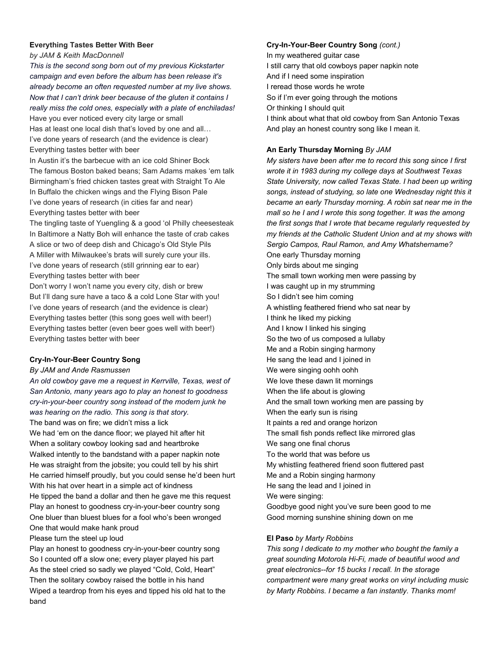# **Everything Tastes Better With Beer**

#### *by JAM & Keith MacDonnell*

*This is the second song born out of my previous Kickstarter campaign and even before the album has been release it's already become an often requested number at my live shows. Now that I can't drink beer because of the gluten it contains I really miss the cold ones, especially with a plate of enchiladas!* Have you ever noticed every city large or small Has at least one local dish that's loved by one and all… I've done years of research (and the evidence is clear) Everything tastes better with beer In Austin it's the barbecue with an ice cold Shiner Bock

The famous Boston baked beans; Sam Adams makes 'em talk Birmingham's fried chicken tastes great with Straight To Ale In Buffalo the chicken wings and the Flying Bison Pale I've done years of research (in cities far and near) Everything tastes better with beer

The tingling taste of Yuengling & a good 'ol Philly cheesesteak In Baltimore a Natty Boh will enhance the taste of crab cakes A slice or two of deep dish and Chicago's Old Style Pils A Miller with Milwaukee's brats will surely cure your ills. I've done years of research (still grinning ear to ear) Everything tastes better with beer

Don't worry I won't name you every city, dish or brew But I'll dang sure have a taco & a cold Lone Star with you! I've done years of research (and the evidence is clear) Everything tastes better (this song goes well with beer!) Everything tastes better (even beer goes well with beer!) Everything tastes better with beer

# **Cry-In-Your-Beer Country Song**

*By JAM and Ande Rasmussen*

*An old cowboy gave me a request in Kerrville, Texas, west of San Antonio, many years ago to play an honest to goodness cry-in-your-beer country song instead of the modern junk he was hearing on the radio. This song is that story.* The band was on fire; we didn't miss a lick

We had 'em on the dance floor; we played hit after hit When a solitary cowboy looking sad and heartbroke Walked intently to the bandstand with a paper napkin note He was straight from the jobsite; you could tell by his shirt He carried himself proudly, but you could sense he'd been hurt With his hat over heart in a simple act of kindness He tipped the band a dollar and then he gave me this request Play an honest to goodness cry-in-your-beer country song One bluer than bluest blues for a fool who's been wronged One that would make hank proud Please turn the steel up loud

Play an honest to goodness cry-in-your-beer country song So I counted off a slow one; every player played his part As the steel cried so sadly we played "Cold, Cold, Heart" Then the solitary cowboy raised the bottle in his hand Wiped a teardrop from his eyes and tipped his old hat to the band

### **Cry-In-Your-Beer Country Song** *(cont.)*

In my weathered guitar case I still carry that old cowboys paper napkin note And if I need some inspiration I reread those words he wrote So if I'm ever going through the motions Or thinking I should quit I think about what that old cowboy from San Antonio Texas And play an honest country song like I mean it.

# **An Early Thursday Morning** *By JAM*

*My sisters have been after me to record this song since I first wrote it in 1983 during my college days at Southwest Texas State University, now called Texas State. I had been up writing songs, instead of studying, so late one Wednesday night this it became an early Thursday morning. A robin sat near me in the mall so he I and I wrote this song together. It was the among the first songs that I wrote that became regularly requested by my friends at the Catholic Student Union and at my shows with Sergio Campos, Raul Ramon, and Amy Whatshername?* One early Thursday morning Only birds about me singing The small town working men were passing by I was caught up in my strumming So I didn't see him coming A whistling feathered friend who sat near by I think he liked my picking And I know I linked his singing So the two of us composed a lullaby Me and a Robin singing harmony He sang the lead and I joined in We were singing oohh oohh We love these dawn lit mornings When the life about is glowing And the small town working men are passing by When the early sun is rising It paints a red and orange horizon The small fish ponds reflect like mirrored glas We sang one final chorus To the world that was before us My whistling feathered friend soon fluttered past Me and a Robin singing harmony He sang the lead and I joined in We were singing: Goodbye good night you've sure been good to me Good morning sunshine shining down on me

## **El Paso** *by Marty Robbins*

*This song I dedicate to my mother who bought the family a great sounding Motorola Hi-Fi, made of beautiful wood and great electronics--for 15 bucks I recall. In the storage compartment were many great works on vinyl including music by Marty Robbins. I became a fan instantly. Thanks mom!*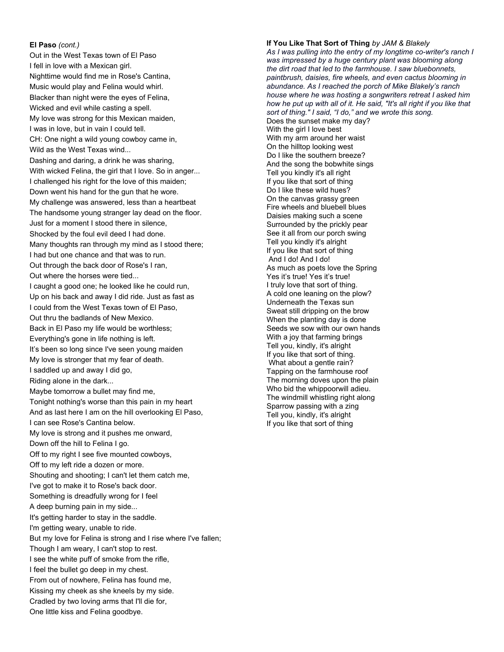### **El Paso** *(cont.)*

Out in the West Texas town of El Paso I fell in love with a Mexican girl. Nighttime would find me in Rose's Cantina, Music would play and Felina would whirl. Blacker than night were the eyes of Felina, Wicked and evil while casting a spell. My love was strong for this Mexican maiden, I was in love, but in vain I could tell. CH: One night a wild young cowboy came in, Wild as the West Texas wind... Dashing and daring, a drink he was sharing, With wicked Felina, the girl that I love. So in anger... I challenged his right for the love of this maiden; Down went his hand for the gun that he wore. My challenge was answered, less than a heartbeat The handsome young stranger lay dead on the floor. Just for a moment I stood there in silence, Shocked by the foul evil deed I had done. Many thoughts ran through my mind as I stood there; I had but one chance and that was to run. Out through the back door of Rose's I ran, Out where the horses were tied... I caught a good one; he looked like he could run, Up on his back and away I did ride. Just as fast as I could from the West Texas town of El Paso, Out thru the badlands of New Mexico. Back in El Paso my life would be worthless; Everything's gone in life nothing is left. It's been so long since I've seen young maiden My love is stronger that my fear of death. I saddled up and away I did go, Riding alone in the dark... Maybe tomorrow a bullet may find me, Tonight nothing's worse than this pain in my heart And as last here I am on the hill overlooking El Paso, I can see Rose's Cantina below. My love is strong and it pushes me onward, Down off the hill to Felina I go. Off to my right I see five mounted cowboys, Off to my left ride a dozen or more. Shouting and shooting; I can't let them catch me, I've got to make it to Rose's back door. Something is dreadfully wrong for I feel A deep burning pain in my side... It's getting harder to stay in the saddle. I'm getting weary, unable to ride. But my love for Felina is strong and I rise where I've fallen; Though I am weary, I can't stop to rest. I see the white puff of smoke from the rifle, I feel the bullet go deep in my chest. From out of nowhere, Felina has found me, Kissing my cheek as she kneels by my side. Cradled by two loving arms that I'll die for, One little kiss and Felina goodbye.

#### **If You Like That Sort of Thing** *by JAM & Blakely*

*As I was pulling into the entry of my longtime co-writer's ranch I was impressed by a huge century plant was blooming along the dirt road that led to the farmhouse. I saw bluebonnets, paintbrush, daisies, fire wheels, and even cactus blooming in abundance. As I reached the porch of Mike Blakely's ranch house where he was hosting a songwriters retreat I asked him how he put up with all of it. He said, "It's all right if you like that sort of thing." I said, "I do," and we wrote this song.* Does the sunset make my day? With the girl I love best With my arm around her waist On the hilltop looking west Do I like the southern breeze? And the song the bobwhite sings Tell you kindly it's all right If you like that sort of thing Do I like these wild hues? On the canvas grassy green Fire wheels and bluebell blues Daisies making such a scene Surrounded by the prickly pear See it all from our porch swing Tell you kindly it's alright If you like that sort of thing And I do! And I do! As much as poets love the Spring Yes it's true! Yes it's true! I truly love that sort of thing. A cold one leaning on the plow? Underneath the Texas sun Sweat still dripping on the brow When the planting day is done Seeds we sow with our own hands With a joy that farming brings Tell you, kindly, it's alright If you like that sort of thing. What about a gentle rain? Tapping on the farmhouse roof The morning doves upon the plain Who bid the whippoorwill adieu. The windmill whistling right along Sparrow passing with a zing Tell you, kindly, it's alright If you like that sort of thing